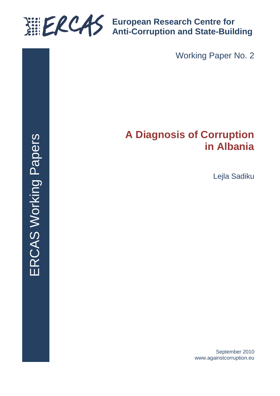

**European Research Centre for Anti-Corruption and State-Building**

Working Paper No. 2

# **A Diagnosis of Corruption in Albania**

Lejla Sadiku

September 2010 www.againstcorruption.eu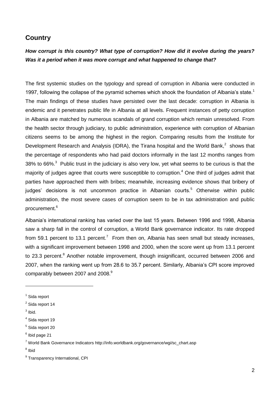#### **Country**

## *How corrupt is this country? What type of corruption? How did it evolve during the years? Was it a period when it was more corrupt and what happened to change that?*

The first systemic studies on the typology and spread of corruption in Albania were conducted in 1997, following the collapse of the pyramid schemes which shook the foundation of Albania's state.<sup>1</sup> The main findings of these studies have persisted over the last decade: corruption in Albania is endemic and it penetrates public life in Albania at all levels. Frequent instances of petty corruption in Albania are matched by numerous scandals of grand corruption which remain unresolved. From the health sector through judiciary, to public administration, experience with corruption of Albanian citizens seems to be among the highest in the region. Comparing results from the Institute for Development Research and Analysis (IDRA), the Tirana hospital and the World Bank, $^2$  shows that the percentage of respondents who had paid doctors informally in the last 12 months ranges from 38% to 66%. $3$  Public trust in the judiciary is also very low, yet what seems to be curious is that the majority of judges agree that courts were susceptible to corruption.<sup>4</sup> One third of judges admit that parties have approached them with bribes; meanwhile, increasing evidence shows that bribery of judges' decisions is not uncommon practice in Albanian courts.<sup>5</sup> Otherwise within public administration, the most severe cases of corruption seem to be in tax administration and public procurement.<sup>6</sup>

Albania's international ranking has varied over the last 15 years. Between 1996 and 1998, Albania saw a sharp fall in the control of corruption, a World Bank governance indicator. Its rate dropped from 59.1 percent to 13.1 percent.<sup>7</sup> From then on, Albania has seen small but steady increases, with a significant improvement between 1998 and 2000, when the score went up from 13.1 percent to 23.3 percent.<sup>8</sup> Another notable improvement, though insignificant, occurred between 2006 and 2007, when the ranking went up from 28.6 to 35.7 percent. Similarly, Albania's CPI score improved comparably between 2007 and 2008.<sup>9</sup>

 $3$  lbid.

-

<sup>8</sup> Ibid

<sup>&</sup>lt;sup>1</sup> Sida report

<sup>&</sup>lt;sup>2</sup> Sida report 14

<sup>4</sup> Sida report 19

<sup>&</sup>lt;sup>5</sup> Sida report 20

 $<sup>6</sup>$  Ibid page 21</sup>

<sup>7</sup> World Bank Governance Indicators http://info.worldbank.org/governance/wgi/sc\_chart.asp

<sup>&</sup>lt;sup>9</sup> Transparency International, CPI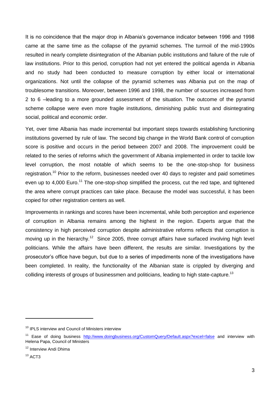It is no coincidence that the major drop in Albania's governance indicator between 1996 and 1998 came at the same time as the collapse of the pyramid schemes. The turmoil of the mid-1990s resulted in nearly complete disintegration of the Albanian public institutions and failure of the rule of law institutions. Prior to this period, corruption had not yet entered the political agenda in Albania and no study had been conducted to measure corruption by either local or international organizations. Not until the collapse of the pyramid schemes was Albania put on the map of troublesome transitions. Moreover, between 1996 and 1998, the number of sources increased from 2 to 6 –leading to a more grounded assessment of the situation. The outcome of the pyramid scheme collapse were even more fragile institutions, diminishing public trust and disintegrating social, political and economic order.

Yet, over time Albania has made incremental but important steps towards establishing functioning institutions governed by rule of law. The second big change in the World Bank control of corruption score is positive and occurs in the period between 2007 and 2008. The improvement could be related to the series of reforms which the government of Albania implemented in order to tackle low level corruption, the most notable of which seems to be the one-stop-shop for business registration.<sup>10</sup> Prior to the reform, businesses needed over 40 days to register and paid sometimes even up to 4,000 Euro.<sup>11</sup> The one-stop-shop simplified the process, cut the red tape, and tightened the area where corrupt practices can take place. Because the model was successful, it has been copied for other registration centers as well.

Improvements in rankings and scores have been incremental, while both perception and experience of corruption in Albania remains among the highest in the region. Experts argue that the consistency in high perceived corruption despite administrative reforms reflects that corruption is moving up in the hierarchy.<sup>12</sup> Since 2005, three corrupt affairs have surfaced involving high level politicians. While the affairs have been different, the results are similar. Investigations by the prosecutor's office have begun, but due to a series of impediments none of the investigations have been completed. In reality, the functionality of the Albanian state is crippled by diverging and colliding interests of groups of businessmen and politicians, leading to high state-capture.<sup>13</sup>

<sup>&</sup>lt;sup>10</sup> IPLS interview and Council of Ministers interview

<sup>&</sup>lt;sup>11</sup> Ease of doing business <http://www.doingbusiness.org/CustomQuery/Default.aspx?excel=false> and interview with Helena Papa, Council of Ministers

<sup>&</sup>lt;sup>12</sup> Interview Andi Dhima

 $13$  ACT3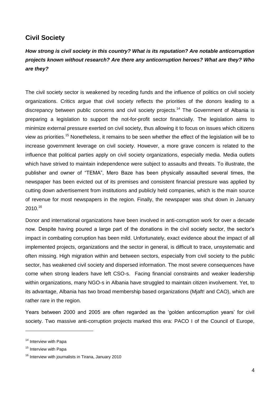## **Civil Society**

# *How strong is civil society in this country? What is its reputation? Are notable anticorruption projects known without research? Are there any anticorruption heroes? What are they? Who are they?*

The civil society sector is weakened by receding funds and the influence of politics on civil society organizations. Critics argue that civil society reflects the priorities of the donors leading to a discrepancy between public concerns and civil society projects.<sup>14</sup> The Government of Albania is preparing a legislation to support the not-for-profit sector financially. The legislation aims to minimize external pressure exerted on civil society, thus allowing it to focus on issues which citizens view as priorities.<sup>15</sup> Nonetheless, it remains to be seen whether the effect of the legislation will be to increase government leverage on civil society. However, a more grave concern is related to the influence that political parties apply on civil society organizations, especially media. Media outlets which have strived to maintain independence were subject to assaults and threats. To illustrate, the publisher and owner of "TEMA", Mero Baze has been physically assaulted several times, the newspaper has been evicted out of its premises and consistent financial pressure was applied by cutting down advertisement from institutions and publicly held companies, which is the main source of revenue for most newspapers in the region. Finally, the newspaper was shut down in January 2010.<sup>16</sup>

Donor and international organizations have been involved in anti-corruption work for over a decade now. Despite having poured a large part of the donations in the civil society sector, the sector's impact in combating corruption has been mild. Unfortunately, exact evidence about the impact of all implemented projects, organizations and the sector in general, is difficult to trace, unsystematic and often missing. High migration within and between sectors, especially from civil society to the public sector, has weakened civil society and dispersed information. The most severe consequences have come when strong leaders have left CSO-s. Facing financial constraints and weaker leadership within organizations, many NGO-s in Albania have struggled to maintain citizen involvement. Yet, to its advantage, Albania has two broad membership based organizations (Mjaft! and CAO), which are rather rare in the region.

Years between 2000 and 2005 are often regarded as the 'golden anticorruption years' for civil society. Two massive anti-corruption projects marked this era: PACO I of the Council of Europe,

<sup>&</sup>lt;sup>14</sup> Interview with Papa

<sup>&</sup>lt;sup>15</sup> Interview with Papa

<sup>&</sup>lt;sup>16</sup> Interview with journalists in Tirana, January 2010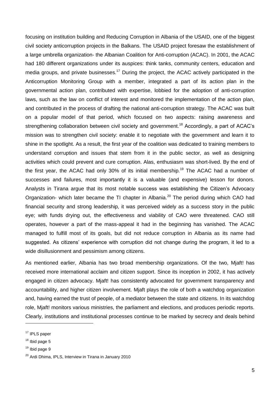focusing on institution building and Reducing Corruption in Albania of the USAID, one of the biggest civil society anticorruption projects in the Balkans. The USAID project foresaw the establishment of a large umbrella organization- the Albanian Coalition for Anti-corruption (ACAC). In 2001, the ACAC had 180 different organizations under its auspices: think tanks, community centers, education and media groups, and private businesses.<sup>17</sup> During the project, the ACAC actively participated in the Anticorruption Monitoring Group with a member, integrated a part of its action plan in the governmental action plan, contributed with expertise, lobbied for the adoption of anti-corruption laws, such as the law on conflict of interest and monitored the implementation of the action plan, and contributed in the process of drafting the national anti-corruption strategy. The ACAC was built on a popular model of that period, which focused on two aspects: raising awareness and strengthening collaboration between civil society and government.<sup>18</sup> Accordingly, a part of ACAC's mission was to strengthen civil society: enable it to negotiate with the government and learn it to shine in the spotlight. As a result, the first year of the coalition was dedicated to training members to understand corruption and issues that stem from it in the public sector, as well as designing activities which could prevent and cure corruption. Alas, enthusiasm was short-lived. By the end of the first year, the ACAC had only 30% of its initial membership.<sup>19</sup> The ACAC had a number of successes and failures, most importantly it is a valuable (and expensive) lesson for donors. Analysts in Tirana argue that its most notable success was establishing the Citizen's Advocacy Organization- which later became the TI chapter in Albania.<sup>20</sup> The period during which CAO had financial security and strong leadership, it was perceived widely as a success story in the public eye; with funds drying out, the effectiveness and viability of CAO were threatened. CAO still operates, however a part of the mass-appeal it had in the beginning has vanished. The ACAC managed to fulfill most of its goals, but did not reduce corruption in Albania as its name had suggested. As citizens' experience with corruption did not change during the program, it led to a wide disillusionment and pessimism among citizens.

As mentioned earlier, Albania has two broad membership organizations. Of the two, Mjaft! has received more international acclaim and citizen support. Since its inception in 2002, it has actively engaged in citizen advocacy. Mjaft! has consistently advocated for government transparency and accountability, and higher citizen involvement. Mjaft plays the role of both a watchdog organization and, having earned the trust of people, of a mediator between the state and citizens. In its watchdog role, Mjaft! monitors various ministries, the parliament and elections, and produces periodic reports. Clearly, institutions and institutional processes continue to be marked by secrecy and deals behind

<sup>&</sup>lt;sup>17</sup> IPLS paper

 $18$  Ibid page 5

 $19$  Ibid page 9

<sup>&</sup>lt;sup>20</sup> Ardi Dhima, IPLS, Interview in Tirana in January 2010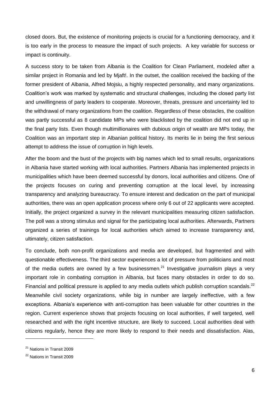closed doors. But, the existence of monitoring projects is crucial for a functioning democracy, and it is too early in the process to measure the impact of such projects. A key variable for success or impact is continuity.

A success story to be taken from Albania is the Coalition for Clean Parliament, modeled after a similar project in Romania and led by Mjaft!. In the outset, the coalition received the backing of the former president of Albania, Alfred Mojsiu, a highly respected personality, and many organizations. Coalition's work was marked by systematic and structural challenges, including the closed party list and unwillingness of party leaders to cooperate. Moreover, threats, pressure and uncertainty led to the withdrawal of many organizations from the coalition. Regardless of these obstacles, the coalition was partly successful as 8 candidate MPs who were blacklisted by the coalition did not end up in the final party lists. Even though multimillionaires with dubious origin of wealth are MPs today, the Coalition was an important step in Albanian political history. Its merits lie in being the first serious attempt to address the issue of corruption in high levels.

After the boom and the bust of the projects with big names which led to small results, organizations in Albania have started working with local authorities. Partners Albania has implemented projects in municipalities which have been deemed successful by donors, local authorities and citizens. One of the projects focuses on curing and preventing corruption at the local level, by increasing transparency and analyzing bureaucracy. To ensure interest and dedication on the part of municipal authorities, there was an open application process where only 6 out of 22 applicants were accepted. Initially, the project organized a survey in the relevant municipalities measuring citizen satisfaction. The poll was a strong stimulus and signal for the participating local authorities. Afterwards, Partners organized a series of trainings for local authorities which aimed to increase transparency and, ultimately, citizen satisfaction.

To conclude, both non-profit organizations and media are developed, but fragmented and with questionable effectiveness. The third sector experiences a lot of pressure from politicians and most of the media outlets are owned by a few businessmen.<sup>21</sup> Investigative journalism plays a very important role in combating corruption in Albania, but faces many obstacles in order to do so. Financial and political pressure is applied to any media outlets which publish corruption scandals. $^{22}$ Meanwhile civil society organizations, while big in number are largely ineffective, with a few exceptions. Albania's experience with anti-corruption has been valuable for other countries in the region. Current experience shows that projects focusing on local authorities, if well targeted, well researched and with the right incentive structure, are likely to succeed. Local authorities deal with citizens regularly, hence they are more likely to respond to their needs and dissatisfaction. Alas,

<sup>21</sup> Nations in Transit 2009

<sup>22</sup> Nations in Transit 2009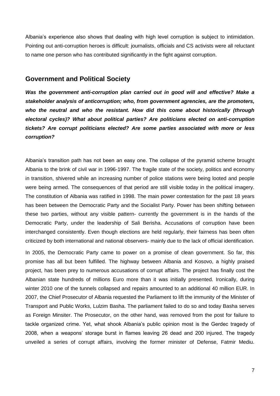Albania's experience also shows that dealing with high level corruption is subject to intimidation. Pointing out anti-corruption heroes is difficult: journalists, officials and CS activists were all reluctant to name one person who has contributed significantly in the fight against corruption.

#### **Government and Political Society**

*Was the government anti-corruption plan carried out in good will and effective? Make a stakeholder analysis of anticorruption; who, from government agrencies, are the promoters, who the neutral and who the resistant. How did this come about historically (through electoral cycles)? What about political parties? Are politicians elected on anti-corruption tickets? Are corrupt politicians elected? Are some parties associated with more or less corruption?*

Albania's transition path has not been an easy one. The collapse of the pyramid scheme brought Albania to the brink of civil war in 1996-1997. The fragile state of the society, politics and economy in transition, shivered while an increasing number of police stations were being looted and people were being armed. The consequences of that period are still visible today in the political imagery. The constitution of Albania was ratified in 1998. The main power contestation for the past 18 years has been between the Democratic Party and the Socialist Party. Power has been shifting between these two parties, without any visible pattern- currently the government is in the hands of the Democratic Party, under the leadership of Sali Berisha. Accusations of corruption have been interchanged consistently. Even though elections are held regularly, their fairness has been often criticized by both international and national observers- mainly due to the lack of official identification.

In 2005, the Democratic Party came to power on a promise of clean government. So far, this promise has all but been fulfilled. The highway between Albania and Kosovo, a highly praised project, has been prey to numerous accusations of corrupt affairs. The project has finally cost the Albanian state hundreds of millions Euro more than it was initially presented. Ironically, during winter 2010 one of the tunnels collapsed and repairs amounted to an additional 40 million EUR. In 2007, the Chief Prosecutor of Albania requested the Parliament to lift the immunity of the Minister of Transport and Public Works, Lulzim Basha. The parliament failed to do so and today Basha serves as Foreign Minsiter. The Prosecutor, on the other hand, was removed from the post for failure to tackle organized crime. Yet, what shook Albania's public opinion most is the Gerdec tragedy of 2008, when a weapons' storage burst in flames leaving 26 dead and 200 injured. The tragedy unveiled a series of corrupt affairs, involving the former minister of Defense, Fatmir Mediu.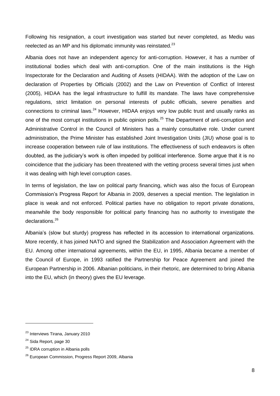Following his resignation, a court investigation was started but never completed, as Mediu was reelected as an MP and his diplomatic immunity was reinstated.<sup>23</sup>

Albania does not have an independent agency for anti-corruption. However, it has a number of institutional bodies which deal with anti-corruption. One of the main institutions is the High Inspectorate for the Declaration and Auditing of Assets (HIDAA). With the adoption of the Law on declaration of Properties by Officials (2002) and the Law on Prevention of Conflict of Interest (2005), HIDAA has the legal infrastructure to fulfill its mandate. The laws have comprehensive regulations, strict limitation on personal interests of public officials, severe penalties and connections to criminal laws. $^{24}$  However, HIDAA enjoys very low public trust and usually ranks as one of the most corrupt institutions in public opinion polls.<sup>25</sup> The Department of anti-corruption and Administrative Control in the Council of Ministers has a mainly consultative role. Under current administration, the Prime Minister has established Joint Investigation Units (JIU) whose goal is to increase cooperation between rule of law institutions. The effectiveness of such endeavors is often doubted, as the judiciary's work is often impeded by political interference. Some argue that it is no coincidence that the judiciary has been threatened with the vetting process several times just when it was dealing with high level corruption cases.

In terms of legislation, the law on political party financing, which was also the focus of European Commission's Progress Report for Albania in 2009, deserves a special mention. The legislation in place is weak and not enforced. Political parties have no obligation to report private donations, meanwhile the body responsible for political party financing has no authority to investigate the declarations.<sup>26</sup>

Albania's (slow but sturdy) progress has reflected in its accession to international organizations. More recently, it has joined NATO and signed the Stabilization and Association Agreement with the EU. Among other international agreements, within the EU, in 1995, Albania became a member of the Council of Europe, in 1993 ratified the Partnership for Peace Agreement and joined the European Partnership in 2006. Albanian politicians, in their rhetoric, are determined to bring Albania into the EU, which (in theory) gives the EU leverage.

<sup>23</sup> Interviews Tirana, January 2010

<sup>&</sup>lt;sup>24</sup> Sida Report, page 30

<sup>&</sup>lt;sup>25</sup> IDRA corruption in Albania polls

<sup>26</sup> European Commission, Progress Report 2009, Albania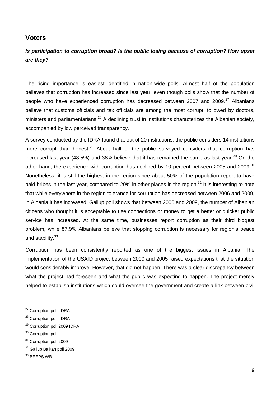#### **Voters**

## *Is participation to corruption broad? Is the public losing because of corruption? How upset are they?*

The rising importance is easiest identified in nation-wide polls. Almost half of the population believes that corruption has increased since last year, even though polls show that the number of people who have experienced corruption has decreased between 2007 and 2009.<sup>27</sup> Albanians believe that customs officials and tax officials are among the most corrupt, followed by doctors, ministers and parliamentarians.<sup>28</sup> A declining trust in institutions characterizes the Albanian society, accompanied by low perceived transparency.

A survey conducted by the IDRA found that out of 20 institutions, the public considers 14 institutions more corrupt than honest.<sup>29</sup> About half of the public surveyed considers that corruption has increased last year (48.5%) and 38% believe that it has remained the same as last year.<sup>30</sup> On the other hand, the experience with corruption has declined by 10 percent between 2005 and 2009.<sup>31</sup> Nonetheless, it is still the highest in the region since about 50% of the population report to have paid bribes in the last year, compared to 20% in other places in the region.<sup>32</sup> It is interesting to note that while everywhere in the region tolerance for corruption has decreased between 2006 and 2009, in Albania it has increased. Gallup poll shows that between 2006 and 2009, the number of Albanian citizens who thought it is acceptable to use connections or money to get a better or quicker public service has increased. At the same time, businesses report corruption as their third biggest problem, while 87.9% Albanians believe that stopping corruption is necessary for region's peace and stability.<sup>33</sup>

Corruption has been consistently reported as one of the biggest issues in Albania. The implementation of the USAID project between 2000 and 2005 raised expectations that the situation would considerably improve. However, that did not happen. There was a clear discrepancy between what the project had foreseen and what the public was expecting to happen. The project merely helped to establish institutions which could oversee the government and create a link between civil

- <sup>29</sup> Corruption poll 2009 IDRA
- <sup>30</sup> Corruption poll

<sup>&</sup>lt;sup>27</sup> Corruption poll, IDRA

<sup>28</sup> Corruption poll, IDRA

<sup>&</sup>lt;sup>31</sup> Corruption poll 2009

<sup>32</sup> Gallup Balkan poll 2009

<sup>&</sup>lt;sup>33</sup> BEEPS WB